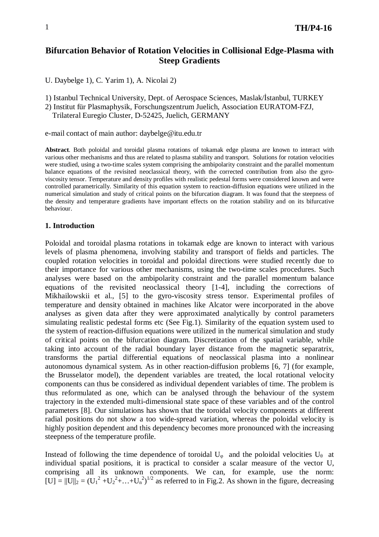## **Bifurcation Behavior of Rotation Velocities in Collisional Edge-Plasma with Steep Gradients**

U. Daybelge 1), C. Yarim 1), A. Nicolai 2)

1) Istanbul Technical University, Dept. of Aerospace Sciences, Maslak/İstanbul, TURKEY

2) Institut für Plasmaphysik, Forschungszentrum Juelich, Association EURATOM-FZJ,

Trilateral Euregio Cluster, D-52425, Juelich, GERMANY

e-mail contact of main author: daybelge@itu.edu.tr

**Abstract**. Both poloidal and toroidal plasma rotations of tokamak edge plasma are known to interact with various other mechanisms and thus are related to plasma stability and transport. Solutions for rotation velocities were studied, using a two-time scales system comprising the ambipolarity constraint and the parallel momentum balance equations of the revisited neoclassical theory, with the corrected contribution from also the gyroviscosity tensor. Temperature and density profiles with realistic pedestal forms were considered known and were controlled parametrically. Similarity of this equation system to reaction-diffusion equations were utilized in the numerical simulation and study of critical points on the bifurcation diagram. It was found that the steepness of the density and temperature gradients have important effects on the rotation stability and on its bifurcative behaviour.

## **1. Introduction**

Poloidal and toroidal plasma rotations in tokamak edge are known to interact with various levels of plasma phenomena, involving stability and transport of fields and particles. The coupled rotation velocities in toroidal and poloidal directions were studied recently due to their importance for various other mechanisms, using the two-time scales procedures. Such analyses were based on the ambipolarity constraint and the parallel momentum balance equations of the revisited neoclassical theory [1-4], including the corrections of Mikhailowskii et al., [5] to the gyro-viscosity stress tensor. Experimental profiles of temperature and density obtained in machines like Alcator were incorporated in the above analyses as given data after they were approximated analytically by control parameters simulating realistic pedestal forms etc (See Fig.1). Similarity of the equation system used to the system of reaction-diffusion equations were utilized in the numerical simulation and study of critical points on the bifurcation diagram. Discretization of the spatial variable, while taking into account of the radial boundary layer distance from the magnetic separatrix, transforms the partial differential equations of neoclassical plasma into a nonlinear autonomous dynamical system. As in other reaction-diffusion problems [6, 7] (for example, the Brusselator model), the dependent variables are treated, the local rotational velocity components can thus be considered as individual dependent variables of time. The problem is thus reformulated as one, which can be analysed through the behaviour of the system trajectory in the extended multi-dimensional state space of these variables and of the control parameters [8]. Our simulations has shown that the toroidal velocity components at different radial positions do not show a too wide-spread variation, whereas the poloidal velocity is highly position dependent and this dependency becomes more pronounced with the increasing steepness of the temperature profile.

Instead of following the time dependence of toroidal  $U_{\varphi}$  and the poloidal velocities  $U_{\vartheta}$  at individual spatial positions, it is practical to consider a scalar measure of the vector U, comprising all its unknown components. We can, for example, use the norm:  $[U] = ||U||_2 = (U_1^2 + U_2^2 + ... + U_n^2)^{1/2}$  as referred to in Fig.2. As shown in the figure, decreasing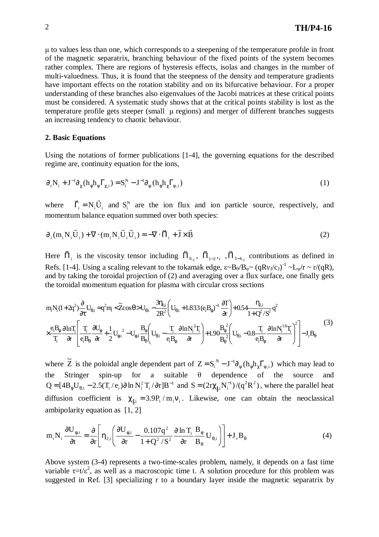$\mu$  to values less than one, which corresponds to a steepening of the temperature profile in front of the magnetic separatrix, branching behaviour of the fixed points of the system becomes rather complex. There are regions of hysteresis effects, isolas and changes in the number of multi-valuedness. Thus, it is found that the steepness of the density and temperature gradients have important effects on the rotation stability and on its bifurcative behaviour. For a proper understanding of these branches also eigenvalues of the Jacobi matrices at these critical points must be considered. A systematic study shows that at the critical points stability is lost as the temperature profile gets steeper (small  $\mu$  regions) and merger of different branches suggests an increasing tendency to chaotic behaviour.

## **2. Basic Equations**

Using the notations of former publications [1-4], the governing equations for the described regime are, continuity equation for the ions,

$$
\partial_t N_i + J^{-1} \partial_\chi (h_\phi h_\psi \Gamma_{\chi,i}) = S_i^N - J^{-1} \partial_\psi (h_\phi h_\chi \Gamma_{\psi,i})
$$
\n<sup>(1)</sup>

where  $\vec{\Gamma}_i = N_i \vec{U}_i$  and  $S_i^N$  are the ion flux and ion particle source, respectively, and momentum balance equation summed over both species:

$$
\partial_i (m_i N_i \vec{U}_i) + \nabla \cdot (m_i N_i \vec{U}_i \vec{U}_i) = -\nabla \cdot \vec{n}_i + \vec{J} \times \vec{B}
$$
\n(2)

Here  $\vec{\Pi}_i$  is the viscosity tensor including  $\vec{\Pi}_{0,i}$ ,  $\vec{\Pi}_{1-2,i}$ ,  $\vec{\Pi}_{3-4,i}$  contributions as defined in Refs. [1-4]. Using a scaling relevant to the tokamak edge,  $\varepsilon \sim B_0/B_\varphi \sim (qRv_J/c_J)^{-1} \sim L_\psi/r \sim r/(qR)$ , and by taking the toroidal projection of (2) and averaging over a flux surface, one finally gets the toroidal momentum equation for plasma with circular cross sections

$$
m_i N_i (1+2q^2) \frac{\partial}{\partial t} U_{\theta,i} = q^2 m_i < \widetilde{Z} \cos \theta > U_{\theta,i} - \frac{3 \eta_{0,i}}{2R^2} \left( U_{\theta,i} + 1.833 (e_i B_{\phi})^{-1} \frac{\partial T}{\partial r} \right) + 0.54 \frac{\eta_{2,i}}{1+Q^2/S^2} q^2
$$
  

$$
\times \frac{e_i B_{\phi}}{T_i} \frac{\partial \ln T_i}{\partial r} \left[ \frac{T_i}{e_i B_{\theta}} \frac{\partial U_{\phi}}{\partial r} + \frac{1}{2} U_{\phi,i}^2 - U_{\phi,i} \frac{B_{\phi}}{B_{\theta}} \left( U_{\theta,i} - \frac{T_i}{e_i B_{\phi}} \frac{\partial \ln N_i^2 T_i}{\partial r} \right) + 1.90 \frac{B_{\phi}^2}{B_{\theta}^2} \left( U_{\theta,i} - 0.8 \frac{T_i}{e_i B_{\phi}} \frac{\partial \ln N_i^{1.6} T_i}{\partial r} \right)^2 \right] - J_r B_{\theta}
$$
(3)

where  $\tilde{Z}$  is the poloidal angle dependent part of  $Z = S_i^N - J^{-1} \partial_{\psi} (h_{\phi} h_{\chi} \Gamma_{\psi,i})$  $i$   $\partial$   $\psi$   $($  $\mu$   $\psi$  $\mu$ <sub> $\chi$  $\mu$ </sub> $\psi$  $=S_i^N - J^{-1} \partial_w (h_{\phi} h_{\gamma} \Gamma_{w,i})$  which may lead to the Stringer spin-up for a suitable  $\theta$  dependence of the source and 1  $Q = [4B_{\phi}U_{\theta,i} - 2.5(T_i/e_i)\partial \ln N_i^2 T_i / \partial r]B^{-1}$  and  $S = (2r\chi_{\parallel,i}N_i^{-1})/(q^2R^2)$  $i^{\perp}$ <sup>1</sup>  $=(2r\chi_{\parallel}N_i^{-1})/(q^2R^2)$ , where the parallel heat diffusion coefficient is  $\chi_{\parallel,i} = 3.9P_i / m_i v_i$ . Likewise, one can obtain the neoclassical ambipolarity equation as [1, 2]

$$
m_i N_i \frac{\partial U_{\phi,i}}{\partial t} = \frac{\partial}{\partial r} \left[ \eta_{2,i} \left( \frac{\partial U_{\phi,i}}{\partial r} - \frac{0.107q^2}{1 + Q^2 / S^2} \frac{\partial \ln T_i}{\partial r} \frac{B_{\phi}}{B_{\theta}} U_{\theta,i} \right) \right] + J_r B_{\theta}
$$
(4)

Above system (3-4) represents a two-time-scales problem, namely, it depends on a fast time variable  $\tau=t/\varepsilon^2$ , as well as a macroscopic time t. A solution procedure for this problem was suggested in Ref. [3] specializing r to a boundary layer inside the magnetic separatrix by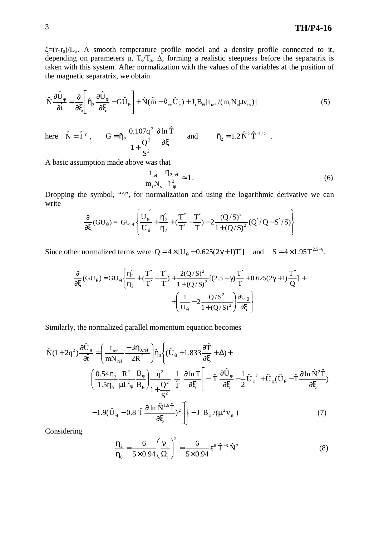# 3 **TH/P4-16**

 $\xi = (r-r_s)/L_v$ . A smooth temperature profile model and a density profile connected to it, depending on parameters  $\mu$ ,  $T_c/T_s$ ,  $\Delta$ , forming a realistic steepness before the separatrix is taken with this system. After normalization with the values of the variables at the position of the magnetic separatrix, we obtain

$$
\hat{N}\frac{\partial \hat{U}_{\phi}}{\partial \hat{t}} = \frac{\partial}{\partial \xi} \left[ \hat{\eta}_{2} \frac{\partial \hat{U}_{\phi}}{\partial \xi} - G \hat{U}_{\theta} \right] + \hat{N}(\hat{\hat{m}} - \hat{v}_{cx} \hat{U}_{\phi}) + J_{r} B_{\theta} [t_{ref} / (m_{i} N_{s} \mu v_{th})]
$$
(5)

here  $\hat{N} = \hat{T}^{\gamma}$ , ∂ξ ∂ +  $=\hat{\eta}_2 \frac{0.107q^2}{\hat{\rho}^2} \frac{\partial \ln \hat{T}}{\partial \hat{r}}$ S  $1+\frac{Q}{a}$  $G = \hat{\eta}_2 \frac{0.107q}{r^2}$ 2 2 2  $\hat{\eta}_2 = 1.2 \hat{N}^2 \hat{T}^{-1/2}$  and  $\hat{\eta}_2 = 1.2 \hat{N}^2 \hat{T}^{-1/2}$ .

A basic assumption made above was that

$$
\frac{t_{\text{ref}}}{m_i N_s} \frac{\eta_{2,\text{ref}}}{L_{\psi}^2} \approx 1.
$$
 (6)

Dropping the symbol, " $\wedge$ ", for normalization and using the logarithmic derivative we can write  $\overline{a}$ 

$$
\frac{\partial}{\partial \xi}(GU_{\theta}) = GU_{\theta} \left\{ \frac{U_{\theta}^{'}}{U_{\theta}} + \frac{\eta'_{2}}{\eta_{2}} + (\frac{T''}{T'} - \frac{T'}{T}) - 2\frac{(Q/S)^{2}}{1 + (Q/S)^{2}} (Q'/Q - S'/S) \right\}
$$

Since other normalized terms were  $Q = 4 \times [U_{\theta} - 0.625(2\gamma + 1)T']$  and  $S = 4 \times 1.95 T^{2.5-\gamma}$ ,

$$
\frac{\partial}{\partial \xi} (GU_{\theta}) = GU_{\theta} \left\{ \frac{\eta'_{2}}{\eta_{2}} + (\frac{T''}{T'} - \frac{T'}{T}) + \frac{2(Q/S)^{2}}{1 + (Q/S)^{2}} [(2.5 - \gamma) \frac{T'}{T} + 0.625(2\gamma + 1) \frac{T''}{Q}] + \left( \frac{1}{U_{\theta}} - 2 \frac{Q/S^{2}}{1 + (Q/S)^{2}} \right) \frac{\partial U_{\theta}}{\partial \xi} \right\}
$$

Similarly, the normalized parallel momentum equation becomes

$$
\hat{N}(1+2q^{2})\frac{\partial \hat{U}_{\theta}}{\partial \hat{t}} = \left(\frac{t_{ref}}{mN_{ref}} - \frac{3\eta_{0,ref}}{2R^{2}}\right)\hat{\eta}_{0}\left\{(\hat{U}_{\theta} + 1.833\frac{\partial \hat{T}}{\partial \xi} + \Delta) + \right.
$$
\n
$$
\left(\frac{0.54\eta_{2}}{1.5\eta_{0}}\frac{R^{2}}{\mu L^{2}{}_{\psi}}\frac{B_{\phi}}{B_{\theta}}\right)\frac{q^{2}}{1+\frac{Q^{2}}{S^{2}}}\frac{1}{\hat{T}}\frac{\partial \ln T}{\partial \xi}\left[-\hat{T}\frac{\partial \hat{U}_{\phi}}{\partial \xi} - \frac{1}{2}\hat{U}_{\phi}^{2} + \hat{U}_{\phi}(\hat{U}_{\theta} - \hat{T}\frac{\partial \ln \hat{N}^{2}\hat{T}}{\partial \xi})\right.
$$
\n
$$
-1.9(\hat{U}_{\theta} - 0.8\hat{T}\frac{\partial \ln \hat{N}^{1.6}\hat{T}}{\partial \xi})^{2}\right\} - J_{r}B_{\phi}/(\mu^{2}v_{th})
$$
\n(7)

Considering

$$
\frac{\eta_2}{\eta_0} = \frac{6}{5 \times 0.94} \left(\frac{v_i}{\Omega_i}\right)^2 = \frac{6}{5 \times 0.94} \epsilon^6 \hat{T}^{-3} \hat{N}^2
$$
 (8)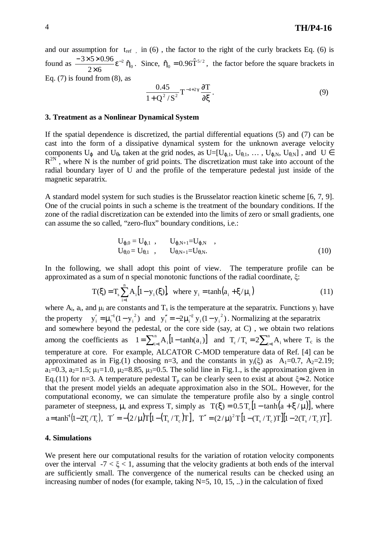and our assumption for  $t_{ref}$ , in (6), the factor to the right of the curly brackets Eq. (6) is found as  $\frac{-3250.90}{256.50}$   $\varepsilon^{-2}$  $2\times 6$  $\frac{3 \times 5 \times 0.96}{2 \times 5}$ ε<sup>-</sup> ×  $\int \frac{-3 \times 5 \times 0.96}{2 \times 6} \epsilon^{-2} \hat{\eta}_{0}$ . Since,  $\hat{\eta}_{0} = 0.96 \hat{T}^{5/2}$ , the factor before the square brackets in Eq.  $(7)$  is found from  $(8)$ , as

$$
\frac{0.45}{1+Q^2/S^2}T^{-4+2\gamma}\frac{\partial T}{\partial \xi}.
$$
\n(9)

#### **3. Treatment as a Nonlinear Dynamical System**

If the spatial dependence is discretized, the partial differential equations (5) and (7) can be cast into the form of a dissipative dynamical system for the unknown average velocity components  $U_{\varphi}$  and  $U_{\theta}$ , taken at the grid nodes, as  $U=[U_{\varphi,1}, U_{\theta,1}, \ldots, U_{\varphi,N}, U_{\theta,N}]$ , and  $U \in$  $R^{2N}$ , where N is the number of grid points. The discretization must take into account of the radial boundary layer of U and the profile of the temperature pedestal just inside of the magnetic separatrix.

A standard model system for such studies is the Brusselator reaction kinetic scheme [6, 7, 9]. One of the crucial points in such a scheme is the treatment of the boundary conditions. If the zone of the radial discretization can be extended into the limits of zero or small gradients, one can assume the so called, "zero-flux" boundary conditions, i.e.:

$$
U_{\varphi,0} = U_{\varphi,1} , U_{\varphi,N+1} = U_{\varphi,N} ,
$$
  
\n
$$
U_{\theta,0} = U_{\theta,1} , U_{\theta,N+1} = U_{\theta,N} .
$$
\n(10)

In the following, we shall adopt this point of view. The temperature profile can be approximated as a sum of n special monotonic functions of the radial coordinate,  $\xi$ :

$$
T(\xi) = T_s \sum_{i=1}^{n} A_i [1 - y_i(\xi)], \text{ where } y_i = \tanh(a_i + \xi/\mu_i)
$$
 (11)

where  $A_i$ ,  $a_i$ , and  $\mu_i$  are constants and  $T_s$  is the temperature at the separatrix. Functions  $y_i$  have the property  $y'_i = \mu_i^{-1}(1 - y_i^2)$  and  $y''_i = -2\mu_i^{-2} y_i (1 - y_i^2)$  $i^{1}$   $j^{1}$ 2  $i = \mu_i$ 2 i  $j_i' = \mu_i^{-1} (1 - y_i^2)$  and  $y_i'' = -2\mu_i^{-2} y_i (1 - y_i^2)$ . Normalizing at the separatrix and somewhere beyond the pedestal, or the core side (say, at C) , we obtain two relations among the coefficients as  $1 = \sum_{i=1}^{n} A_i [1 - \tanh(a_i)]$  $1 = \sum_{i=1}^{n} A_i [1 - \tanh(a_i)]$  and  $T_c/T_s = 2 \sum_{i=1}^{n} A_i$  where  $T_c$  is t  $T_c/T_s = 2\sum_{i=1}^{n} A_i$  where  $T_c$  is the temperature at core. For example, ALCATOR C-MOD temperature data of Ref. [4] can be approximated as in Fig.(1) choosing n=3, and the constants in  $y_i(\xi)$  as  $A_1=0.7$ ,  $A_2=2.19$ ;  $a_1=0.3$ ,  $a_2=1.5$ ;  $\mu_1=1.0$ ,  $\mu_2=8.85$ ,  $\mu_3=0.5$ . The solid line in Fig.1., is the approximation given in Eq.(11) for n=3. A temperature pedestal  $T_p$  can be clearly seen to exist at about  $\xi \approx -2$ . Notice that the present model yields an adequate approximation also in the SOL. However, for the computational economy, we can simulate the temperature profile also by a single control parameter of steepness,  $\mu$ , and express T, simply as  $T(\xi) = 0.5 T_c [1 - \tanh(a + \xi/\mu)]$ , where  $a = \tanh^{-1}(1 - 2T_s/T_c), \quad T' = -(2/\mu)T[1 - (T_s/T_c)T], \quad T'' = (2/\mu)^2 T[1 - (T_s/T_c)T][1 - 2(T_s/T_c)T].$ 

#### **4. Simulations**

We present here our computational results for the variation of rotation velocity components over the interval  $-7 < \xi < 1$ , assuming that the velocity gradients at both ends of the interval are sufficiently small. The convergence of the numerical results can be checked using an increasing number of nodes (for example, taking  $N=5$ , 10, 15, ..) in the calculation of fixed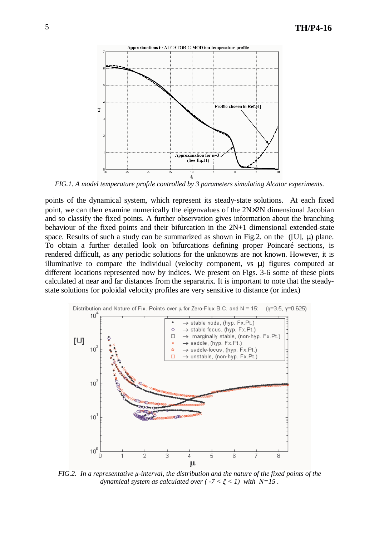

*FIG.1. A model temperature profıle controlled by 3 parameters simulating Alcator experiments.*

points of the dynamical system, which represent its steady-state solutions. At each fixed point, we can then examine numerically the eigenvalues of the 2N×2N dimensional Jacobian and so classify the fixed points. A further observation gives information about the branching behaviour of the fixed points and their bifurcation in the 2N+1 dimensional extended-state space. Results of such a study can be summarized as shown in Fig.2. on the  $([U], \mu)$  plane. To obtain a further detailed look on bifurcations defining proper Poincaré sections, is rendered difficult, as any periodic solutions for the unknowns are not known. However, it is illuminative to compare the individual (velocity component, vs µ) figures computed at different locations represented now by indices. We present on Figs. 3-6 some of these plots calculated at near and far distances from the separatrix. It is important to note that the steadystate solutions for poloidal velocity profiles are very sensitive to distance (or index)



*FIG.2. In a representative -interval, the distribution and the nature of the fixed points of the dynamical system as calculated over*  $(-7 < \xi < 1)$  *with N=15*.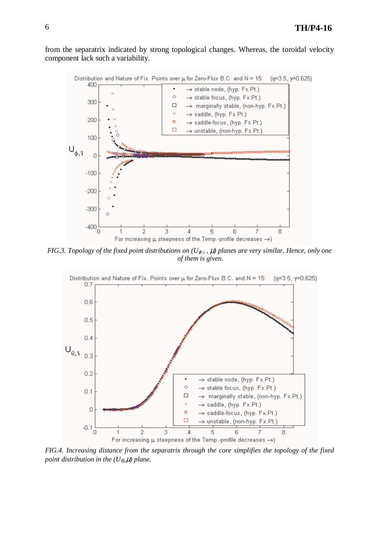from the separatrix indicated by strong topological changes. Whereas, the toroidal velocity component lack such a variability.



FIG.3. Topology of the fixed point distributions on ( $U_{\varphi,i}$ ,  $\mu$ ) planes are very similar. Hence, only one *of them is given.*



*FIG.4. Increasing distance from the separatrix through the core simplifies the topology of the fixed point distribution in the*  $(U_{\theta}, \mu)$  *plane.*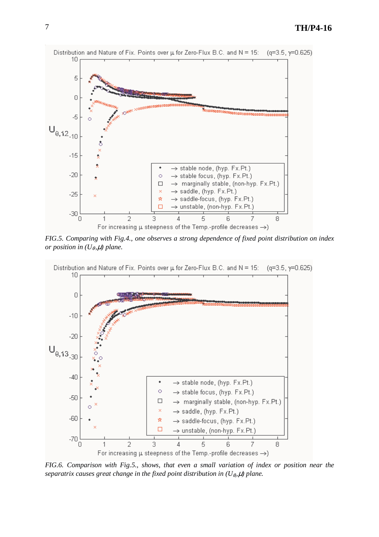

*FIG.5. Comparing with Fig.4., one observes a strong dependence of fixed point distribution on index or position in*  $(U_{\theta}, \mu)$  *plane.* 



*FIG.6. Comparison with Fig.5., shows, that even a small variation of index or position near the separatrix causes great change in the fixed point distribution in (U*θ*, ,*µ*) plane.*